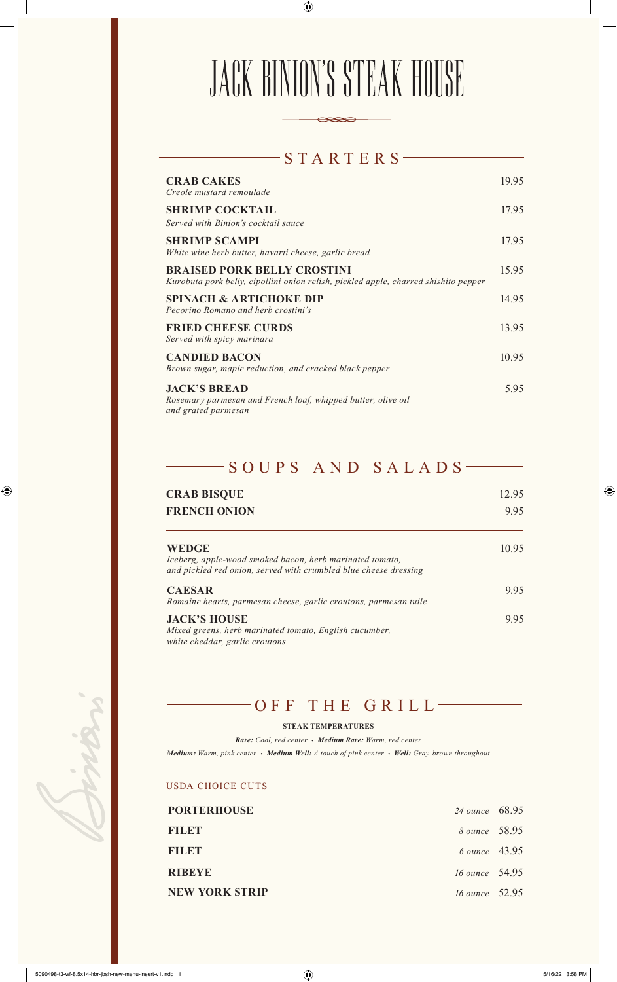# JACK BINION'S STEAK HOUSE

| STARTERS                                                                                                                  |       |
|---------------------------------------------------------------------------------------------------------------------------|-------|
| <b>CRAB CAKES</b><br>Creole mustard remoulade                                                                             | 19.95 |
| <b>SHRIMP COCKTAIL</b><br>Served with Binion's cocktail sauce                                                             | 17.95 |
| <b>SHRIMP SCAMPI</b><br>White wine herb butter, havarti cheese, garlic bread                                              | 17.95 |
| <b>BRAISED PORK BELLY CROSTINI</b><br>Kurobuta pork belly, cipollini onion relish, pickled apple, charred shishito pepper | 15.95 |
| <b>SPINACH &amp; ARTICHOKE DIP</b><br>Pecorino Romano and herb crostini's                                                 | 14.95 |
| <b>FRIED CHEESE CURDS</b><br>Served with spicy marinara                                                                   | 13.95 |
| <b>CANDIED BACON</b><br>Brown sugar, maple reduction, and cracked black pepper                                            | 10.95 |
| <b>JACK'S BREAD</b><br>Rosemary parmesan and French loaf, whipped butter, olive oil<br>and grated parmesan                | 5.95  |

## -SOUPS AND SALADS-

| <b>CRAB BISQUE</b>                                                                                                                           | 12.95<br>9.95 |
|----------------------------------------------------------------------------------------------------------------------------------------------|---------------|
| <b>FRENCH ONION</b>                                                                                                                          |               |
| <b>WEDGE</b><br>Iceberg, apple-wood smoked bacon, herb marinated tomato,<br>and pickled red onion, served with crumbled blue cheese dressing | 10.95         |
| <b>CAESAR</b><br>Romaine hearts, parmesan cheese, garlic croutons, parmesan tuile                                                            | 9.95          |
| <b>JACK'S HOUSE</b><br>Mixed greens, herb marinated tomato, English cucumber,<br>white cheddar, garlic croutons                              | 995           |

### OFF THE GRILL

#### **STEAK TEMPERATURES**

*Rare: Cool, red center • Medium Rare: Warm, red center Medium: Warm, pink center • Medium Well: A touch of pink center • Well: Gray-brown throughout*

| -USDA CHOICE CUTS ————— |                |  |
|-------------------------|----------------|--|
| <b>PORTERHOUSE</b>      | 24 ounce 68.95 |  |
| <b>BILBE</b>            | 8 ounce 58.95  |  |
| <b>FILET</b>            | 6 ounce 43.95  |  |
| <b>RIBEYE</b>           | 16 ounce 54.95 |  |
| <b>NEW YORK STRIP</b>   | 16 ounce 52.95 |  |

 $\bigoplus$